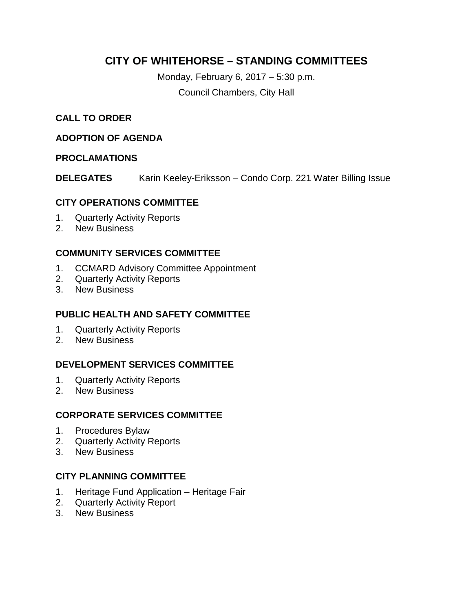## **CITY OF WHITEHORSE – STANDING COMMITTEES**

Monday, February 6, 2017 – 5:30 p.m.

Council Chambers, City Hall

## **CALL TO ORDER**

#### **ADOPTION OF AGENDA**

#### **PROCLAMATIONS**

**DELEGATES** Karin Keeley-Eriksson – Condo Corp. 221 Water Billing Issue

#### **CITY OPERATIONS COMMITTEE**

- 1. Quarterly Activity Reports
- 2. New Business

## **COMMUNITY SERVICES COMMITTEE**

- 1. CCMARD Advisory Committee Appointment
- 2. Quarterly Activity Reports
- 3. New Business

## **PUBLIC HEALTH AND SAFETY COMMITTEE**

- 1. Quarterly Activity Reports
- 2. New Business

## **DEVELOPMENT SERVICES COMMITTEE**

- 1. Quarterly Activity Reports
- 2. New Business

#### **CORPORATE SERVICES COMMITTEE**

- 1. Procedures Bylaw
- 2. Quarterly Activity Reports
- 3. New Business

## **CITY PLANNING COMMITTEE**

- 1. Heritage Fund Application Heritage Fair
- 2. Quarterly Activity Report
- 3. New Business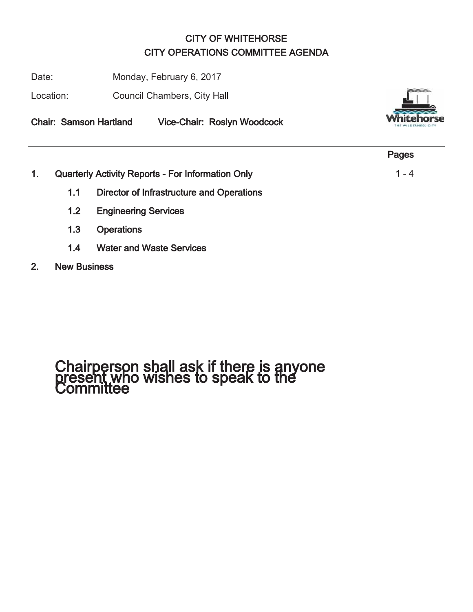## CITY OF WHITEHORSE CITY OPERATIONS COMMITTEE AGENDA

Date: Monday, February 6, 2017

Location: Council Chambers, City Hall





|                  |     |                                                          | Pages   |
|------------------|-----|----------------------------------------------------------|---------|
| $\overline{1}$ . |     | <b>Quarterly Activity Reports - For Information Only</b> | $1 - 4$ |
|                  | 1.1 | Director of Infrastructure and Operations                |         |
|                  | 1.2 | <b>Engineering Services</b>                              |         |
|                  | 1.3 | <b>Operations</b>                                        |         |

- 1.4 Water and Waste Services
- 2. New Business

# Chairperson shall ask if there is anyone present who wishes to speak to the Committee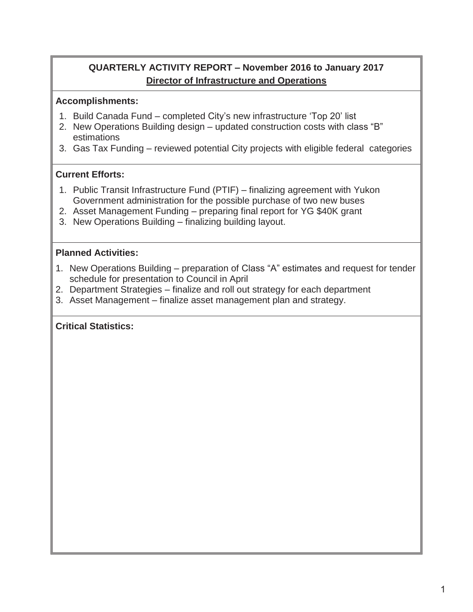## **QUARTERLY ACTIVITY REPORT – November 2016 to January 2017 Director of Infrastructure and Operations**

## **Accomplishments:**

- 1. Build Canada Fund completed City's new infrastructure 'Top 20' list
- 2. New Operations Building design updated construction costs with class "B" estimations
- 3. Gas Tax Funding reviewed potential City projects with eligible federal categories

## **Current Efforts:**

- 1. Public Transit Infrastructure Fund (PTIF) finalizing agreement with Yukon Government administration for the possible purchase of two new buses
- 2. Asset Management Funding preparing final report for YG \$40K grant
- 3. New Operations Building finalizing building layout.

## **Planned Activities:**

- 1. New Operations Building preparation of Class "A" estimates and request for tender schedule for presentation to Council in April
- 2. Department Strategies finalize and roll out strategy for each department
- 3. Asset Management finalize asset management plan and strategy.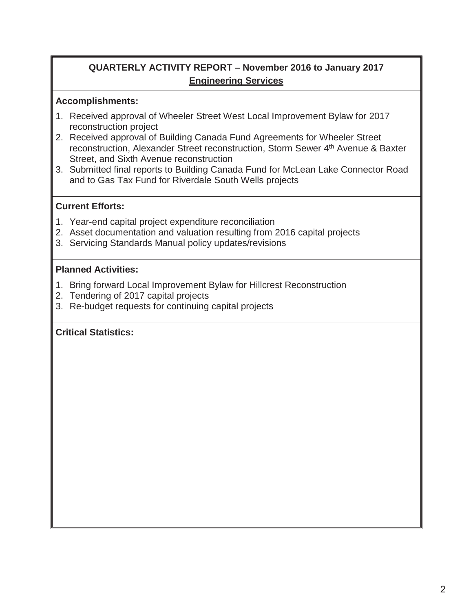## **QUARTERLY ACTIVITY REPORT – November 2016 to January 2017 Engineering Services**

## **Accomplishments:**

- 1. Received approval of Wheeler Street West Local Improvement Bylaw for 2017 reconstruction project
- 2. Received approval of Building Canada Fund Agreements for Wheeler Street reconstruction, Alexander Street reconstruction, Storm Sewer 4<sup>th</sup> Avenue & Baxter Street, and Sixth Avenue reconstruction
- 3. Submitted final reports to Building Canada Fund for McLean Lake Connector Road and to Gas Tax Fund for Riverdale South Wells projects

## **Current Efforts:**

- 1. Year-end capital project expenditure reconciliation
- 2. Asset documentation and valuation resulting from 2016 capital projects
- 3. Servicing Standards Manual policy updates/revisions

#### **Planned Activities:**

- 1. Bring forward Local Improvement Bylaw for Hillcrest Reconstruction
- 2. Tendering of 2017 capital projects
- 3. Re-budget requests for continuing capital projects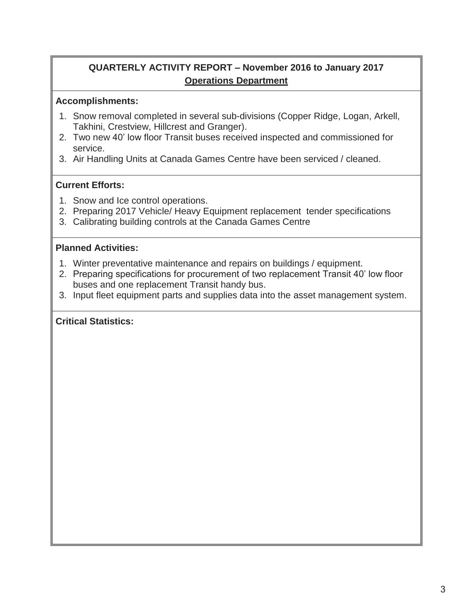## **QUARTERLY ACTIVITY REPORT – November 2016 to January 2017 Operations Department**

#### **Accomplishments:**

- 1. Snow removal completed in several sub-divisions (Copper Ridge, Logan, Arkell, Takhini, Crestview, Hillcrest and Granger).
- 2. Two new 40' low floor Transit buses received inspected and commissioned for service.
- 3. Air Handling Units at Canada Games Centre have been serviced / cleaned.

## **Current Efforts:**

- 1. Snow and Ice control operations.
- 2. Preparing 2017 Vehicle/ Heavy Equipment replacement tender specifications
- 3. Calibrating building controls at the Canada Games Centre

#### **Planned Activities:**

- 1. Winter preventative maintenance and repairs on buildings / equipment.
- 2. Preparing specifications for procurement of two replacement Transit 40' low floor buses and one replacement Transit handy bus.
- 3. Input fleet equipment parts and supplies data into the asset management system.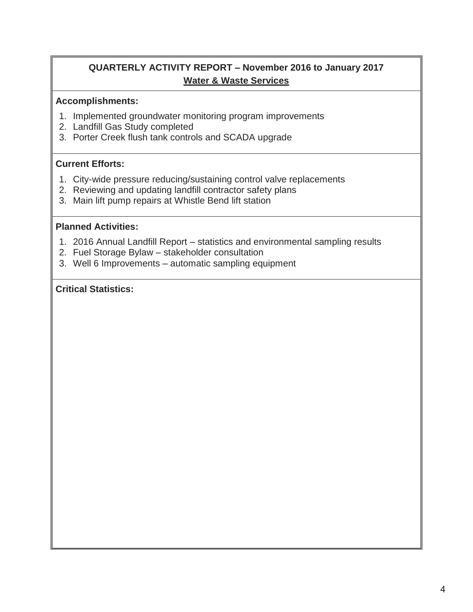## **QUARTERLY ACTIVITY REPORT – November 2016 to January 2017 Water & Waste Services**

#### **Accomplishments:**

- 1. Implemented groundwater monitoring program improvements
- 2. Landfill Gas Study completed
- 3. Porter Creek flush tank controls and SCADA upgrade

## **Current Efforts:**

- 1. City-wide pressure reducing/sustaining control valve replacements
- 2. Reviewing and updating landfill contractor safety plans
- 3. Main lift pump repairs at Whistle Bend lift station

## **Planned Activities:**

- 1. 2016 Annual Landfill Report statistics and environmental sampling results
- 2. Fuel Storage Bylaw stakeholder consultation
- 3. Well 6 Improvements automatic sampling equipment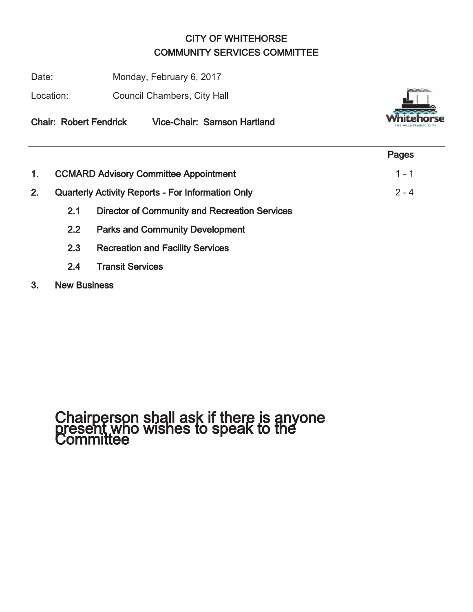## CITY OF WHITEHORSE COMMUNITY SERVICES COMMITTEE

Date: Monday, February 6, 2017

Location: Council Chambers, City Hall



Chair: Robert Fendrick Vice-Chair: Samson Hartland

|    |               |                                                          | Pages   |
|----|---------------|----------------------------------------------------------|---------|
|    |               | <b>CCMARD Advisory Committee Appointment</b>             | $1 - 1$ |
| 2. |               | <b>Quarterly Activity Reports - For Information Only</b> | $2 - 4$ |
|    | 2.1           | <b>Director of Community and Recreation Services</b>     |         |
|    | $2.2^{\circ}$ | <b>Parks and Community Development</b>                   |         |
|    | 2.3           | <b>Recreation and Facility Services</b>                  |         |

- 2.4 Transit Services
- 3. New Business

# Chairperson shall ask if there is anyone present who wishes to speak to the Committee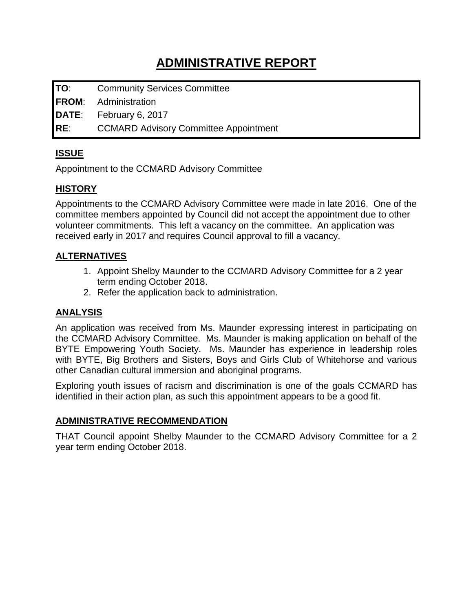## **ADMINISTRATIVE REPORT**

**TO**: Community Services Committee

**FROM**: Administration

**DATE**: February 6, 2017

**RE**: CCMARD Advisory Committee Appointment

## **ISSUE**

Appointment to the CCMARD Advisory Committee

## **HISTORY**

Appointments to the CCMARD Advisory Committee were made in late 2016. One of the committee members appointed by Council did not accept the appointment due to other volunteer commitments. This left a vacancy on the committee. An application was received early in 2017 and requires Council approval to fill a vacancy.

## **ALTERNATIVES**

- 1. Appoint Shelby Maunder to the CCMARD Advisory Committee for a 2 year term ending October 2018.
- 2. Refer the application back to administration.

## **ANALYSIS**

An application was received from Ms. Maunder expressing interest in participating on the CCMARD Advisory Committee. Ms. Maunder is making application on behalf of the BYTE Empowering Youth Society. Ms. Maunder has experience in leadership roles with BYTE, Big Brothers and Sisters, Boys and Girls Club of Whitehorse and various other Canadian cultural immersion and aboriginal programs.

Exploring youth issues of racism and discrimination is one of the goals CCMARD has identified in their action plan, as such this appointment appears to be a good fit.

## **ADMINISTRATIVE RECOMMENDATION**

THAT Council appoint Shelby Maunder to the CCMARD Advisory Committee for a 2 year term ending October 2018.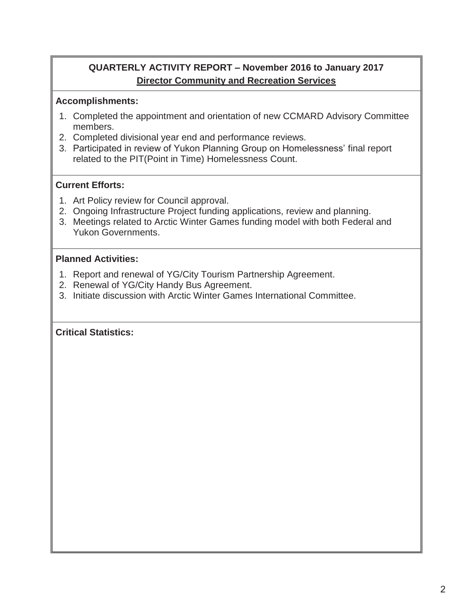## **QUARTERLY ACTIVITY REPORT – November 2016 to January 2017 Director Community and Recreation Services**

## **Accomplishments:**

- 1. Completed the appointment and orientation of new CCMARD Advisory Committee members.
- 2. Completed divisional year end and performance reviews.
- 3. Participated in review of Yukon Planning Group on Homelessness' final report related to the PIT(Point in Time) Homelessness Count.

## **Current Efforts:**

- 1. Art Policy review for Council approval.
- 2. Ongoing Infrastructure Project funding applications, review and planning.
- 3. Meetings related to Arctic Winter Games funding model with both Federal and Yukon Governments.

## **Planned Activities:**

- 1. Report and renewal of YG/City Tourism Partnership Agreement.
- 2. Renewal of YG/City Handy Bus Agreement.
- 3. Initiate discussion with Arctic Winter Games International Committee.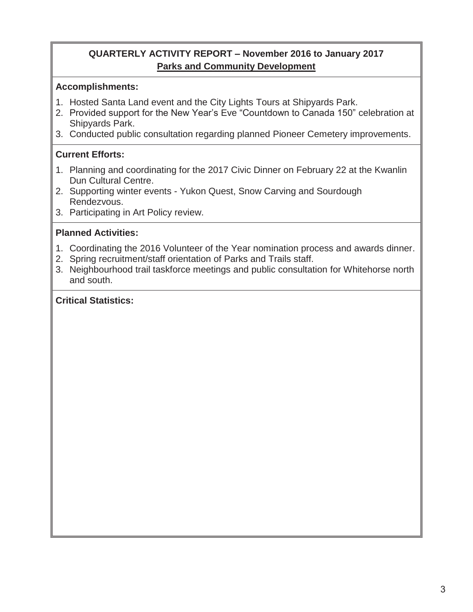## **QUARTERLY ACTIVITY REPORT – November 2016 to January 2017 Parks and Community Development**

## **Accomplishments:**

- 1. Hosted Santa Land event and the City Lights Tours at Shipyards Park.
- 2. Provided support for the New Year's Eve "Countdown to Canada 150" celebration at Shipyards Park.
- 3. Conducted public consultation regarding planned Pioneer Cemetery improvements.

## **Current Efforts:**

- 1. Planning and coordinating for the 2017 Civic Dinner on February 22 at the Kwanlin Dun Cultural Centre.
- 2. Supporting winter events Yukon Quest, Snow Carving and Sourdough Rendezvous.
- 3. Participating in Art Policy review.

## **Planned Activities:**

- 1. Coordinating the 2016 Volunteer of the Year nomination process and awards dinner.
- 2. Spring recruitment/staff orientation of Parks and Trails staff.
- 3. Neighbourhood trail taskforce meetings and public consultation for Whitehorse north and south.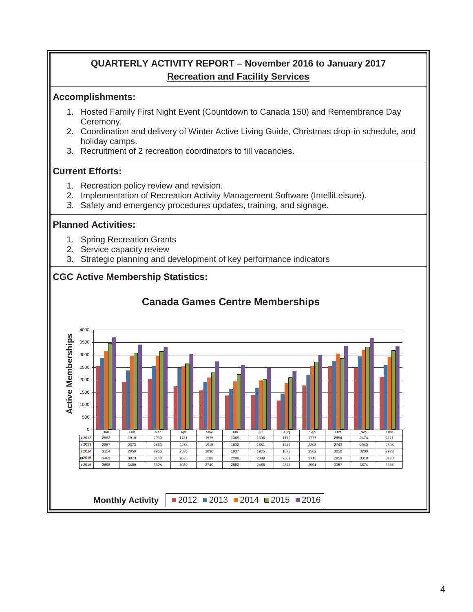## **QUARTERLY ACTIVITY REPORT – November 2016 to January 2017 Recreation and Facility Services**

#### **Accomplishments:**

- 1. Hosted Family First Night Event (Countdown to Canada 150) and Remembrance Day Ceremony.
- 2. Coordination and delivery of Winter Active Living Guide, Christmas drop-in schedule, and holiday camps.
- 3. Recruitment of 2 recreation coordinators to fill vacancies.

## **Current Efforts:**

- 1. Recreation policy review and revision.
- 2. Implementation of Recreation Activity Management Software (IntelliLeisure).
- 3. Safety and emergency procedures updates, training, and signage.

#### **Planned Activities:**

- 1. Spring Recreation Grants
- 2. Service capacity review
- 3. Strategic planning and development of key performance indicators

## **CGC Active Membership Statistics:**

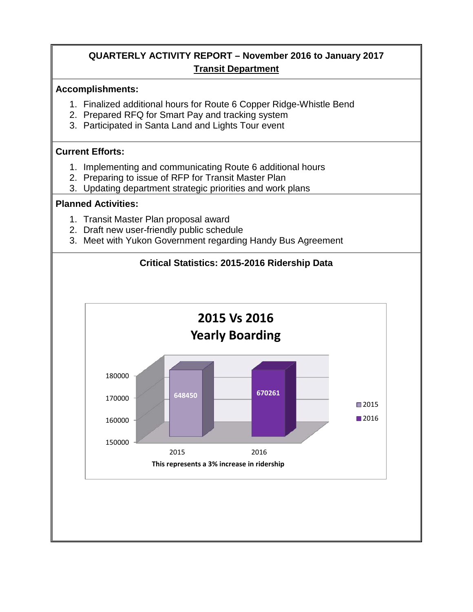## **QUARTERLY ACTIVITY REPORT – November 2016 to January 2017 Transit Department**

#### **Accomplishments:**

- 1. Finalized additional hours for Route 6 Copper Ridge-Whistle Bend
- 2. Prepared RFQ for Smart Pay and tracking system
- 3. Participated in Santa Land and Lights Tour event

## **Current Efforts:**

- 1. Implementing and communicating Route 6 additional hours
- 2. Preparing to issue of RFP for Transit Master Plan
- 3. Updating department strategic priorities and work plans

#### **Planned Activities:**

- 1. Transit Master Plan proposal award
- 2. Draft new user-friendly public schedule
- 3. Meet with Yukon Government regarding Handy Bus Agreement

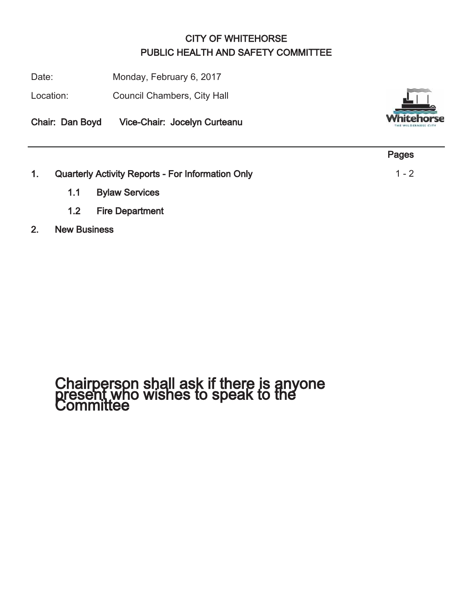## CITY OF WHITEHORSE PUBLIC HEALTH AND SAFETY COMMITTEE

Date: Monday, February 6, 2017

Location: Council Chambers, City Hall

Chair: Dan Boyd Vice-Chair: Jocelyn Curteanu



|    |                                                          | Pages   |
|----|----------------------------------------------------------|---------|
| 1. | <b>Quarterly Activity Reports - For Information Only</b> | $1 - 2$ |
|    | 1.1 Bylaw Services                                       |         |

- 1.2 Fire Department
- 2. New Business

# Chairperson shall ask if there is anyone present who wishes to speak to the Committee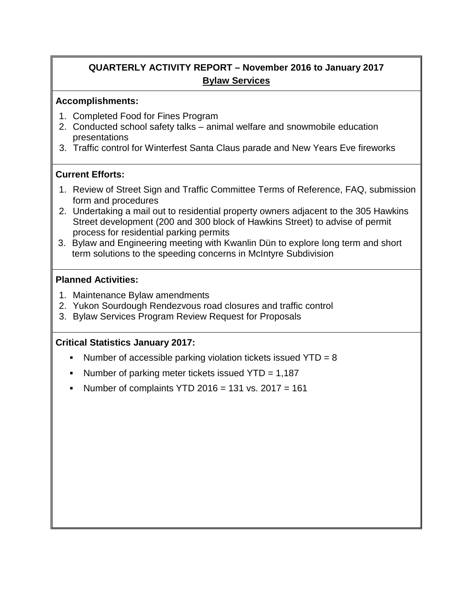## **QUARTERLY ACTIVITY REPORT – November 2016 to January 2017 Bylaw Services**

#### **Accomplishments:**

- 1. Completed Food for Fines Program
- 2. Conducted school safety talks animal welfare and snowmobile education presentations
- 3. Traffic control for Winterfest Santa Claus parade and New Years Eve fireworks

## **Current Efforts:**

- 1. Review of Street Sign and Traffic Committee Terms of Reference, FAQ, submission form and procedures
- 2. Undertaking a mail out to residential property owners adjacent to the 305 Hawkins Street development (200 and 300 block of Hawkins Street) to advise of permit process for residential parking permits
- 3. Bylaw and Engineering meeting with Kwanlin Dün to explore long term and short term solutions to the speeding concerns in McIntyre Subdivision

## **Planned Activities:**

- 1. Maintenance Bylaw amendments
- 2. Yukon Sourdough Rendezvous road closures and traffic control
- 3. Bylaw Services Program Review Request for Proposals

## **Critical Statistics January 2017:**

- Number of accessible parking violation tickets issued  $YTD = 8$
- Number of parking meter tickets issued  $YTD = 1,187$
- Number of complaints YTD 2016 = 131 vs. 2017 = 161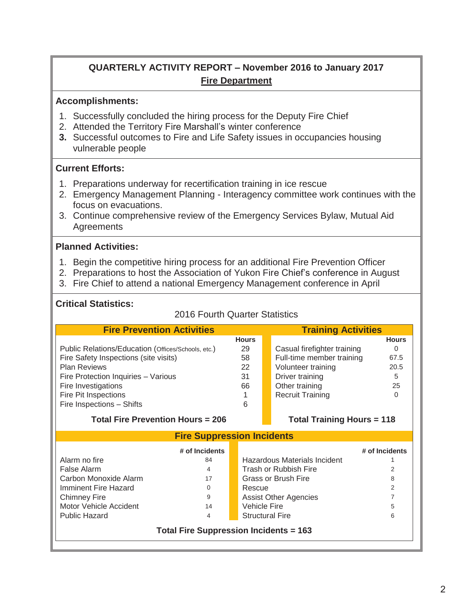## **QUARTERLY ACTIVITY REPORT – November 2016 to January 2017 Fire Department**

#### **Accomplishments:**

- 1. Successfully concluded the hiring process for the Deputy Fire Chief
- 2. Attended the Territory Fire Marshall's winter conference
- **3.** Successful outcomes to Fire and Life Safety issues in occupancies housing vulnerable people

#### **Current Efforts:**

- 1. Preparations underway for recertification training in ice rescue
- 2. Emergency Management Planning Interagency committee work continues with the focus on evacuations.
- 3. Continue comprehensive review of the Emergency Services Bylaw, Mutual Aid **Agreements**

#### **Planned Activities:**

- 1. Begin the competitive hiring process for an additional Fire Prevention Officer
- 2. Preparations to host the Association of Yukon Fire Chief's conference in August
- 3. Fire Chief to attend a national Emergency Management conference in April

#### **Critical Statistics:**

#### 2016 Fourth Quarter Statistics

| <b>Fire Prevention Activities</b>                  |                              |                                   | <b>Training Activities</b>   |                |  |
|----------------------------------------------------|------------------------------|-----------------------------------|------------------------------|----------------|--|
|                                                    | <b>Hours</b>                 |                                   |                              | <b>Hours</b>   |  |
| Public Relations/Education (Offices/Schools, etc.) | 29                           |                                   | Casual firefighter training  | $\Omega$       |  |
| Fire Safety Inspections (site visits)              | 58                           |                                   | Full-time member training    | 67.5           |  |
| <b>Plan Reviews</b>                                | 22                           |                                   | Volunteer training           | 20.5           |  |
| Fire Protection Inquiries - Various                | 31                           |                                   | Driver training              | 5              |  |
| Fire Investigations                                | 66                           |                                   | Other training               | 25             |  |
| Fire Pit Inspections                               |                              |                                   | <b>Recruit Training</b>      | $\Omega$       |  |
| Fire Inspections - Shifts                          | 6                            |                                   |                              |                |  |
| <b>Total Fire Prevention Hours = 206</b>           |                              | <b>Total Training Hours = 118</b> |                              |                |  |
| <b>Fire Suppression Incidents</b>                  |                              |                                   |                              |                |  |
| # of Incidents                                     |                              |                                   |                              | # of Incidents |  |
| Alarm no fire<br>84                                |                              |                                   | Hazardous Materials Incident |                |  |
| False Alarm<br>4                                   |                              |                                   | Trash or Rubbish Fire        | 2              |  |
| Carbon Monoxide Alarm<br>17                        | Grass or Brush Fire          |                                   |                              | 8              |  |
| Imminent Fire Hazard<br>0                          | Rescue                       |                                   |                              | 2              |  |
| <b>Chimney Fire</b><br>9                           | <b>Assist Other Agencies</b> |                                   |                              | 7              |  |
| Motor Vehicle Accident<br>14                       | Vehicle Fire<br>5            |                                   |                              |                |  |
| Public Hazard<br><b>Structural Fire</b><br>4       |                              | 6                                 |                              |                |  |
| <b>Total Fire Suppression Incidents = 163</b>      |                              |                                   |                              |                |  |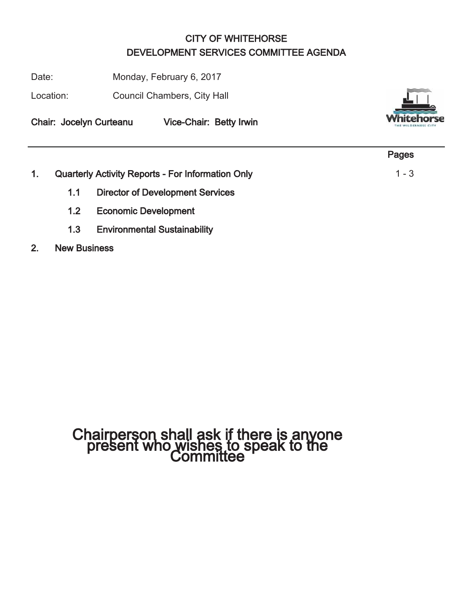## CITY OF WHITEHORSE DEVELOPMENT SERVICES COMMITTEE AGENDA

Date: Monday, February 6, 2017

Location: Council Chambers, City Hall

Chair: Jocelyn Curteanu Vice-Chair: Betty Irwin



|                  |                                                          | Pages   |
|------------------|----------------------------------------------------------|---------|
|                  | <b>Quarterly Activity Reports - For Information Only</b> | $1 - 3$ |
| 1.1              | <b>Director of Development Services</b>                  |         |
| 1.2 <sub>1</sub> | <b>Economic Development</b>                              |         |

1.3 Environmental Sustainability

## 2. New Business

# Chairperson shall ask if there is anyone present who wishes to speak to the Committee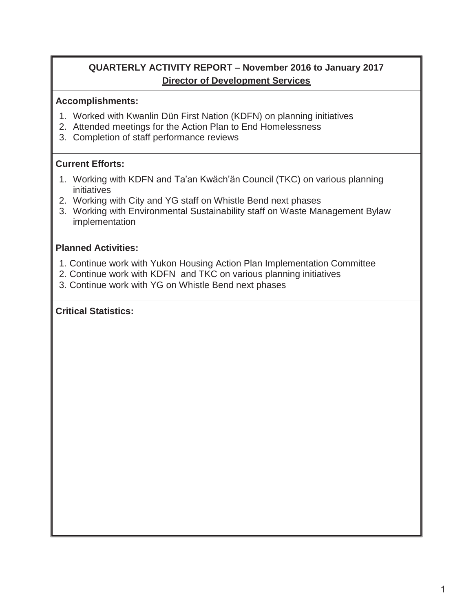## **QUARTERLY ACTIVITY REPORT – November 2016 to January 2017 Director of Development Services**

#### **Accomplishments:**

- 1. Worked with Kwanlin Dün First Nation (KDFN) on planning initiatives
- 2. Attended meetings for the Action Plan to End Homelessness
- 3. Completion of staff performance reviews

## **Current Efforts:**

- 1. Working with KDFN and Ta'an Kwäch'än Council (TKC) on various planning initiatives
- 2. Working with City and YG staff on Whistle Bend next phases
- 3. Working with Environmental Sustainability staff on Waste Management Bylaw implementation

## **Planned Activities:**

- 1. Continue work with Yukon Housing Action Plan Implementation Committee
- 2. Continue work with KDFN and TKC on various planning initiatives
- 3. Continue work with YG on Whistle Bend next phases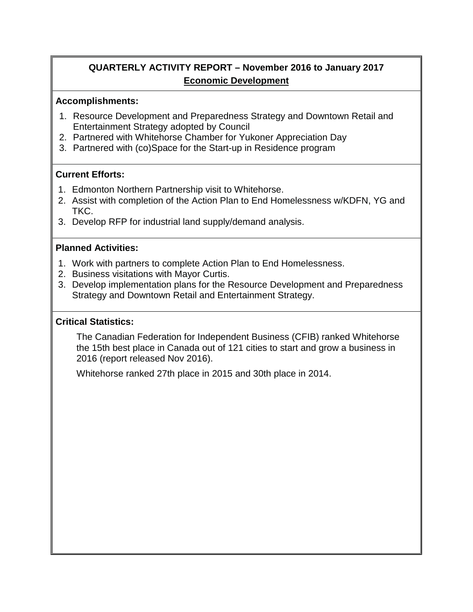## **QUARTERLY ACTIVITY REPORT – November 2016 to January 2017 Economic Development**

#### **Accomplishments:**

- 1. Resource Development and Preparedness Strategy and Downtown Retail and Entertainment Strategy adopted by Council
- 2. Partnered with Whitehorse Chamber for Yukoner Appreciation Day
- 3. Partnered with (co)Space for the Start-up in Residence program

## **Current Efforts:**

- 1. Edmonton Northern Partnership visit to Whitehorse.
- 2. Assist with completion of the Action Plan to End Homelessness w/KDFN, YG and TKC.
- 3. Develop RFP for industrial land supply/demand analysis.

#### **Planned Activities:**

- 1. Work with partners to complete Action Plan to End Homelessness.
- 2. Business visitations with Mayor Curtis.
- 3. Develop implementation plans for the Resource Development and Preparedness Strategy and Downtown Retail and Entertainment Strategy.

## **Critical Statistics:**

The Canadian Federation for Independent Business (CFIB) ranked Whitehorse the 15th best place in Canada out of 121 cities to start and grow a business in 2016 (report released Nov 2016).

Whitehorse ranked 27th place in 2015 and 30th place in 2014.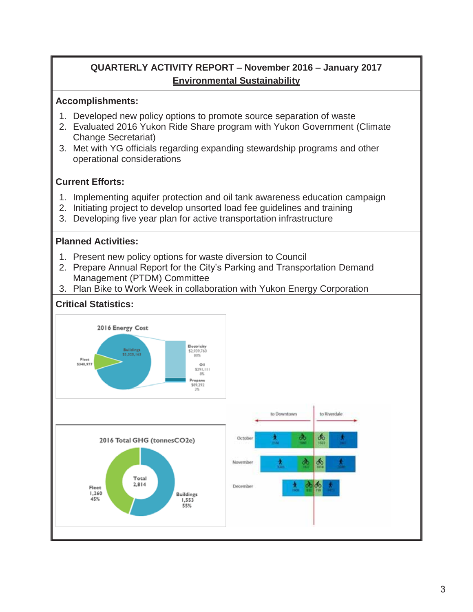## **QUARTERLY ACTIVITY REPORT – November 2016 – January 2017 Environmental Sustainability**

#### **Accomplishments:**

- 1. Developed new policy options to promote source separation of waste
- 2. Evaluated 2016 Yukon Ride Share program with Yukon Government (Climate Change Secretariat)
- 3. Met with YG officials regarding expanding stewardship programs and other operational considerations

## **Current Efforts:**

- 1. Implementing aquifer protection and oil tank awareness education campaign
- 2. Initiating project to develop unsorted load fee guidelines and training
- 3. Developing five year plan for active transportation infrastructure

## **Planned Activities:**

- 1. Present new policy options for waste diversion to Council
- 2. Prepare Annual Report for the City's Parking and Transportation Demand Management (PTDM) Committee
- 3. Plan Bike to Work Week in collaboration with Yukon Energy Corporation

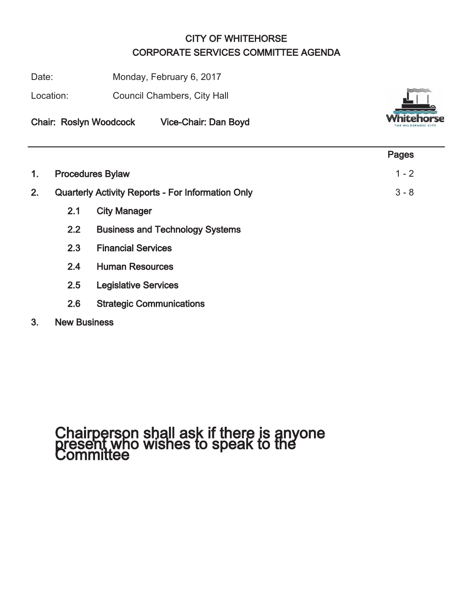## CITY OF WHITEHORSE CORPORATE SERVICES COMMITTEE AGENDA

Date: Monday, February 6, 2017

Location: Council Chambers, City Hall



Chair: Roslyn Woodcock Vice-Chair: Dan Boyd

|    |     |                                                          | Pages   |
|----|-----|----------------------------------------------------------|---------|
| 1. |     | <b>Procedures Bylaw</b>                                  | $1 - 2$ |
| 2. |     | <b>Quarterly Activity Reports - For Information Only</b> | $3 - 8$ |
|    | 2.1 | <b>City Manager</b>                                      |         |
|    | 2.2 | <b>Business and Technology Systems</b>                   |         |
|    | 2.3 | <b>Financial Services</b>                                |         |
|    | 2.4 | <b>Human Resources</b>                                   |         |
|    | 2.5 | <b>Legislative Services</b>                              |         |
|    | 2.6 | <b>Strategic Communications</b>                          |         |
|    |     |                                                          |         |

## 3. New Business

# Chairperson shall ask if there is anyone present who wishes to speak to the Committee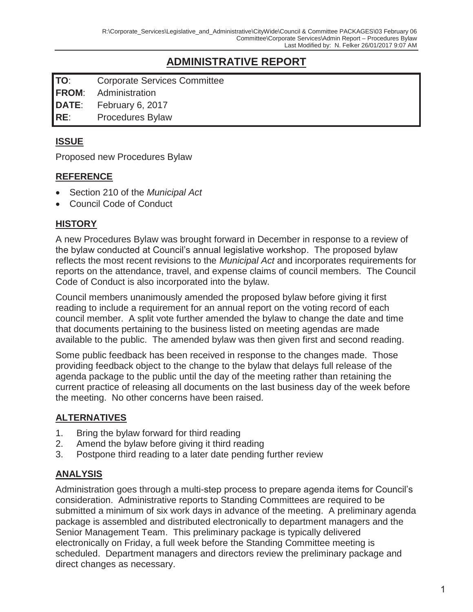## **ADMINISTRATIVE REPORT**

**TO**: Corporate Services Committee

**FROM**: Administration

**DATE**: February 6, 2017

**RE**: Procedures Bylaw

## **ISSUE**

Proposed new Procedures Bylaw

## **REFERENCE**

- x Section 210 of the *Municipal Act*
- Council Code of Conduct

## **HISTORY**

A new Procedures Bylaw was brought forward in December in response to a review of the bylaw conducted at Council's annual legislative workshop. The proposed bylaw reflects the most recent revisions to the *Municipal Act* and incorporates requirements for reports on the attendance, travel, and expense claims of council members. The Council Code of Conduct is also incorporated into the bylaw.

Council members unanimously amended the proposed bylaw before giving it first reading to include a requirement for an annual report on the voting record of each council member. A split vote further amended the bylaw to change the date and time that documents pertaining to the business listed on meeting agendas are made available to the public. The amended bylaw was then given first and second reading.

Some public feedback has been received in response to the changes made. Those providing feedback object to the change to the bylaw that delays full release of the agenda package to the public until the day of the meeting rather than retaining the current practice of releasing all documents on the last business day of the week before the meeting. No other concerns have been raised.

## **ALTERNATIVES**

- 1. Bring the bylaw forward for third reading
- 2. Amend the bylaw before giving it third reading
- 3. Postpone third reading to a later date pending further review

## **ANALYSIS**

Administration goes through a multi-step process to prepare agenda items for Council's consideration. Administrative reports to Standing Committees are required to be submitted a minimum of six work days in advance of the meeting. A preliminary agenda package is assembled and distributed electronically to department managers and the Senior Management Team. This preliminary package is typically delivered electronically on Friday, a full week before the Standing Committee meeting is scheduled. Department managers and directors review the preliminary package and direct changes as necessary.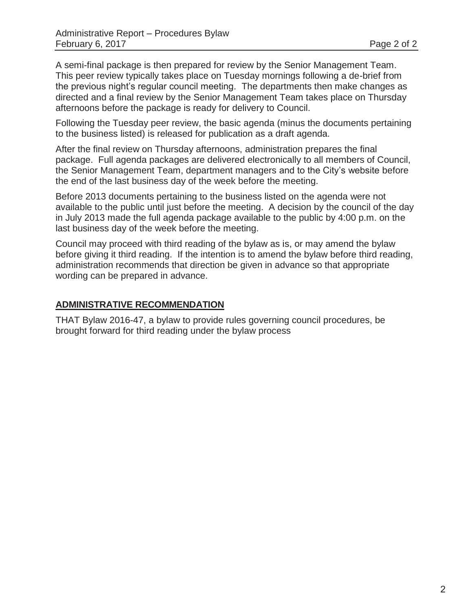A semi-final package is then prepared for review by the Senior Management Team. This peer review typically takes place on Tuesday mornings following a de-brief from the previous night's regular council meeting. The departments then make changes as directed and a final review by the Senior Management Team takes place on Thursday afternoons before the package is ready for delivery to Council.

Following the Tuesday peer review, the basic agenda (minus the documents pertaining to the business listed) is released for publication as a draft agenda.

After the final review on Thursday afternoons, administration prepares the final package. Full agenda packages are delivered electronically to all members of Council, the Senior Management Team, department managers and to the City's website before the end of the last business day of the week before the meeting.

Before 2013 documents pertaining to the business listed on the agenda were not available to the public until just before the meeting. A decision by the council of the day in July 2013 made the full agenda package available to the public by 4:00 p.m. on the last business day of the week before the meeting.

Council may proceed with third reading of the bylaw as is, or may amend the bylaw before giving it third reading. If the intention is to amend the bylaw before third reading, administration recommends that direction be given in advance so that appropriate wording can be prepared in advance.

## **ADMINISTRATIVE RECOMMENDATION**

THAT Bylaw 2016-47, a bylaw to provide rules governing council procedures, be brought forward for third reading under the bylaw process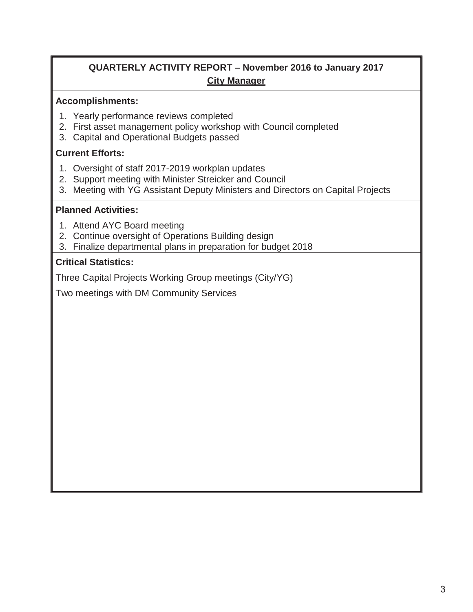## **QUARTERLY ACTIVITY REPORT – November 2016 to January 2017 City Manager**

## **Accomplishments:**

- 1. Yearly performance reviews completed
- 2. First asset management policy workshop with Council completed
- 3. Capital and Operational Budgets passed

## **Current Efforts:**

- 1. Oversight of staff 2017-2019 workplan updates
- 2. Support meeting with Minister Streicker and Council
- 3. Meeting with YG Assistant Deputy Ministers and Directors on Capital Projects

#### **Planned Activities:**

- 1. Attend AYC Board meeting
- 2. Continue oversight of Operations Building design
- 3. Finalize departmental plans in preparation for budget 2018

#### **Critical Statistics:**

Three Capital Projects Working Group meetings (City/YG)

Two meetings with DM Community Services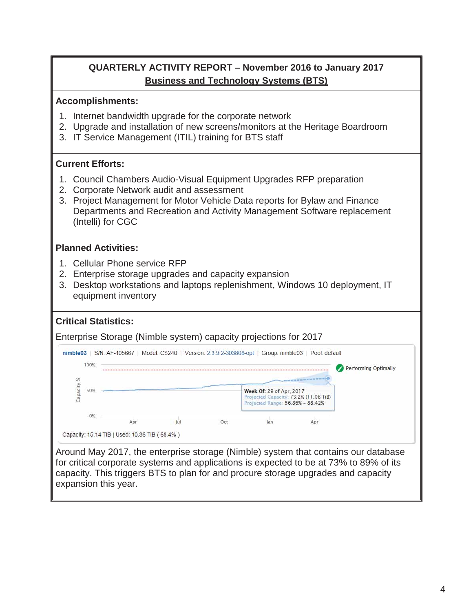## **QUARTERLY ACTIVITY REPORT – November 2016 to January 2017 Business and Technology Systems (BTS)**

## **Accomplishments:**

- 1. Internet bandwidth upgrade for the corporate network
- 2. Upgrade and installation of new screens/monitors at the Heritage Boardroom
- 3. IT Service Management (ITIL) training for BTS staff

## **Current Efforts:**

- 1. Council Chambers Audio-Visual Equipment Upgrades RFP preparation
- 2. Corporate Network audit and assessment
- 3. Project Management for Motor Vehicle Data reports for Bylaw and Finance Departments and Recreation and Activity Management Software replacement (Intelli) for CGC

## **Planned Activities:**

- 1. Cellular Phone service RFP
- 2. Enterprise storage upgrades and capacity expansion
- 3. Desktop workstations and laptops replenishment, Windows 10 deployment, IT equipment inventory

## **Critical Statistics:**

Enterprise Storage (Nimble system) capacity projections for 2017



Around May 2017, the enterprise storage (Nimble) system that contains our database for critical corporate systems and applications is expected to be at 73% to 89% of its capacity. This triggers BTS to plan for and procure storage upgrades and capacity expansion this year.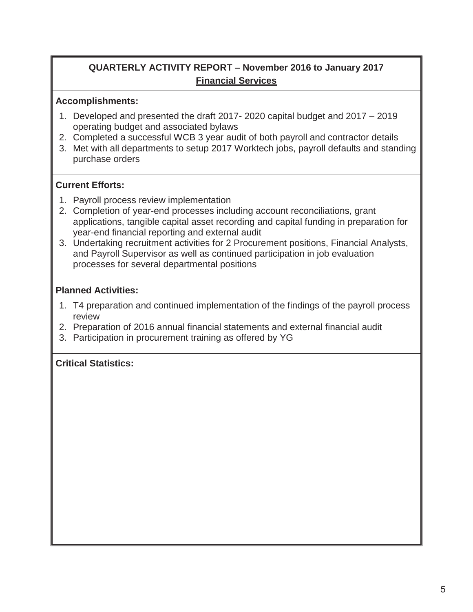## **QUARTERLY ACTIVITY REPORT – November 2016 to January 2017 Financial Services**

## **Accomplishments:**

- 1. Developed and presented the draft 2017- 2020 capital budget and 2017 2019 operating budget and associated bylaws
- 2. Completed a successful WCB 3 year audit of both payroll and contractor details
- 3. Met with all departments to setup 2017 Worktech jobs, payroll defaults and standing purchase orders

## **Current Efforts:**

- 1. Payroll process review implementation
- 2. Completion of year-end processes including account reconciliations, grant applications, tangible capital asset recording and capital funding in preparation for year-end financial reporting and external audit
- 3. Undertaking recruitment activities for 2 Procurement positions, Financial Analysts, and Payroll Supervisor as well as continued participation in job evaluation processes for several departmental positions

#### **Planned Activities:**

- 1. T4 preparation and continued implementation of the findings of the payroll process review
- 2. Preparation of 2016 annual financial statements and external financial audit
- 3. Participation in procurement training as offered by YG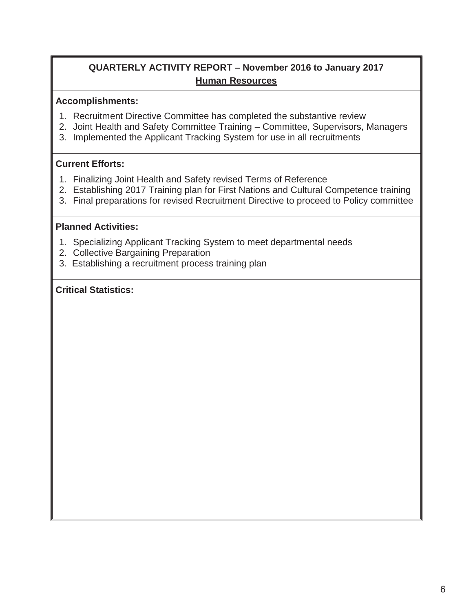## **QUARTERLY ACTIVITY REPORT – November 2016 to January 2017 Human Resources**

## **Accomplishments:**

- 1. Recruitment Directive Committee has completed the substantive review
- 2. Joint Health and Safety Committee Training Committee, Supervisors, Managers
- 3. Implemented the Applicant Tracking System for use in all recruitments

## **Current Efforts:**

- 1. Finalizing Joint Health and Safety revised Terms of Reference
- 2. Establishing 2017 Training plan for First Nations and Cultural Competence training
- 3. Final preparations for revised Recruitment Directive to proceed to Policy committee

## **Planned Activities:**

- 1. Specializing Applicant Tracking System to meet departmental needs
- 2. Collective Bargaining Preparation
- 3. Establishing a recruitment process training plan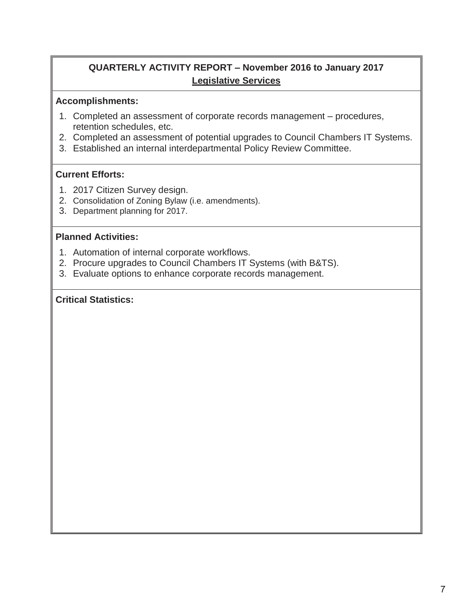## **QUARTERLY ACTIVITY REPORT – November 2016 to January 2017 Legislative Services**

#### **Accomplishments:**

- 1. Completed an assessment of corporate records management procedures, retention schedules, etc.
- 2. Completed an assessment of potential upgrades to Council Chambers IT Systems.
- 3. Established an internal interdepartmental Policy Review Committee.

## **Current Efforts:**

- 1. 2017 Citizen Survey design.
- 2. Consolidation of Zoning Bylaw (i.e. amendments).
- 3. Department planning for 2017.

#### **Planned Activities:**

- 1. Automation of internal corporate workflows.
- 2. Procure upgrades to Council Chambers IT Systems (with B&TS).
- 3. Evaluate options to enhance corporate records management.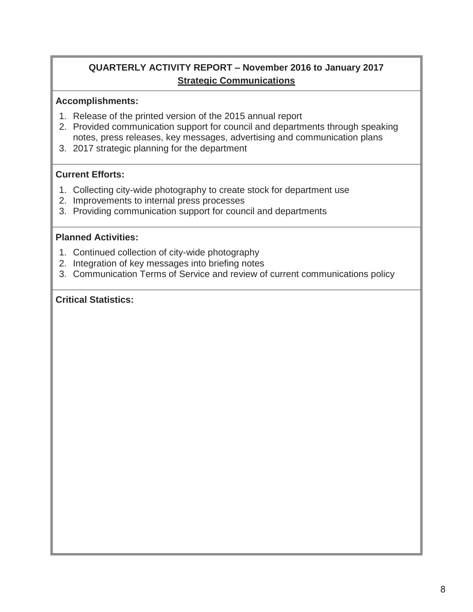## **QUARTERLY ACTIVITY REPORT – November 2016 to January 2017 Strategic Communications**

#### **Accomplishments:**

- 1. Release of the printed version of the 2015 annual report
- 2. Provided communication support for council and departments through speaking notes, press releases, key messages, advertising and communication plans
- 3. 2017 strategic planning for the department

## **Current Efforts:**

- 1. Collecting city-wide photography to create stock for department use
- 2. Improvements to internal press processes
- 3. Providing communication support for council and departments

#### **Planned Activities:**

- 1. Continued collection of city-wide photography
- 2. Integration of key messages into briefing notes
- 3. Communication Terms of Service and review of current communications policy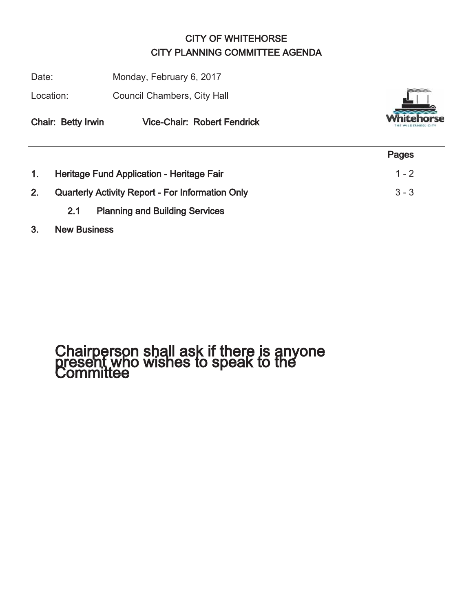## CITY OF WHITEHORSE CITY PLANNING COMMITTEE AGENDA

Date: Monday, February 6, 2017

Location: Council Chambers, City Hall



Chair: Betty Irwin Vice-Chair: Robert Fendrick

|    |                                                         | Pages   |
|----|---------------------------------------------------------|---------|
|    | Heritage Fund Application - Heritage Fair               | $1 - 2$ |
| 2. | <b>Quarterly Activity Report - For Information Only</b> | $3 - 3$ |
|    | <b>Planning and Building Services</b><br>2.1            |         |

## 3. New Business

# Chairperson shall ask if there is anyone present who wishes to speak to the Committee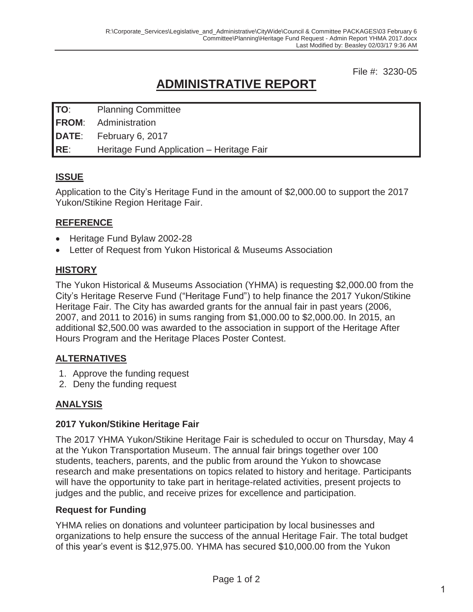File #: 3230-05

## **ADMINISTRATIVE REPORT**

| TO: | <b>Planning Committee</b>                 |
|-----|-------------------------------------------|
|     | <b>FROM:</b> Administration               |
|     | DATE: February 6, 2017                    |
| RE: | Heritage Fund Application - Heritage Fair |

## **ISSUE**

Application to the City's Heritage Fund in the amount of \$2,000.00 to support the 2017 Yukon/Stikine Region Heritage Fair.

## **REFERENCE**

- Heritage Fund Bylaw 2002-28
- Letter of Request from Yukon Historical & Museums Association

## **HISTORY**

The Yukon Historical & Museums Association (YHMA) is requesting \$2,000.00 from the City's Heritage Reserve Fund ("Heritage Fund") to help finance the 2017 Yukon/Stikine Heritage Fair. The City has awarded grants for the annual fair in past years (2006, 2007, and 2011 to 2016) in sums ranging from \$1,000.00 to \$2,000.00. In 2015, an additional \$2,500.00 was awarded to the association in support of the Heritage After Hours Program and the Heritage Places Poster Contest.

## **ALTERNATIVES**

- 1. Approve the funding request
- 2. Deny the funding request

## **ANALYSIS**

## **2017 Yukon/Stikine Heritage Fair**

The 2017 YHMA Yukon/Stikine Heritage Fair is scheduled to occur on Thursday, May 4 at the Yukon Transportation Museum. The annual fair brings together over 100 students, teachers, parents, and the public from around the Yukon to showcase research and make presentations on topics related to history and heritage. Participants will have the opportunity to take part in heritage-related activities, present projects to judges and the public, and receive prizes for excellence and participation.

## **Request for Funding**

YHMA relies on donations and volunteer participation by local businesses and organizations to help ensure the success of the annual Heritage Fair. The total budget of this year's event is \$12,975.00. YHMA has secured \$10,000.00 from the Yukon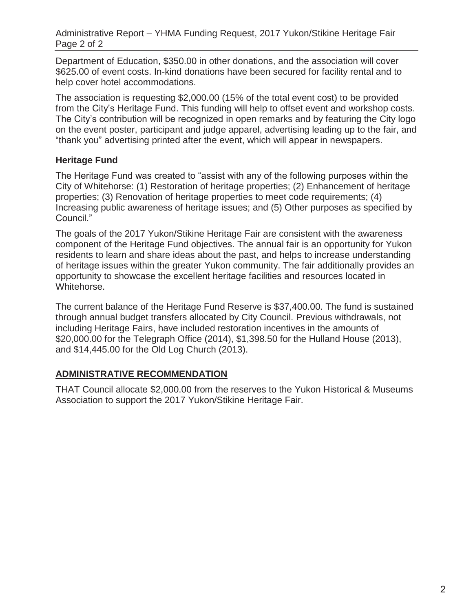Department of Education, \$350.00 in other donations, and the association will cover \$625.00 of event costs. In-kind donations have been secured for facility rental and to help cover hotel accommodations.

The association is requesting \$2,000.00 (15% of the total event cost) to be provided from the City's Heritage Fund. This funding will help to offset event and workshop costs. The City's contribution will be recognized in open remarks and by featuring the City logo on the event poster, participant and judge apparel, advertising leading up to the fair, and "thank you" advertising printed after the event, which will appear in newspapers.

## **Heritage Fund**

The Heritage Fund was created to "assist with any of the following purposes within the City of Whitehorse: (1) Restoration of heritage properties; (2) Enhancement of heritage properties; (3) Renovation of heritage properties to meet code requirements; (4) Increasing public awareness of heritage issues; and (5) Other purposes as specified by Council."

The goals of the 2017 Yukon/Stikine Heritage Fair are consistent with the awareness component of the Heritage Fund objectives. The annual fair is an opportunity for Yukon residents to learn and share ideas about the past, and helps to increase understanding of heritage issues within the greater Yukon community. The fair additionally provides an opportunity to showcase the excellent heritage facilities and resources located in Whitehorse.

The current balance of the Heritage Fund Reserve is \$37,400.00. The fund is sustained through annual budget transfers allocated by City Council. Previous withdrawals, not including Heritage Fairs, have included restoration incentives in the amounts of \$20,000.00 for the Telegraph Office (2014), \$1,398.50 for the Hulland House (2013), and \$14,445.00 for the Old Log Church (2013).

## **ADMINISTRATIVE RECOMMENDATION**

THAT Council allocate \$2,000.00 from the reserves to the Yukon Historical & Museums Association to support the 2017 Yukon/Stikine Heritage Fair.